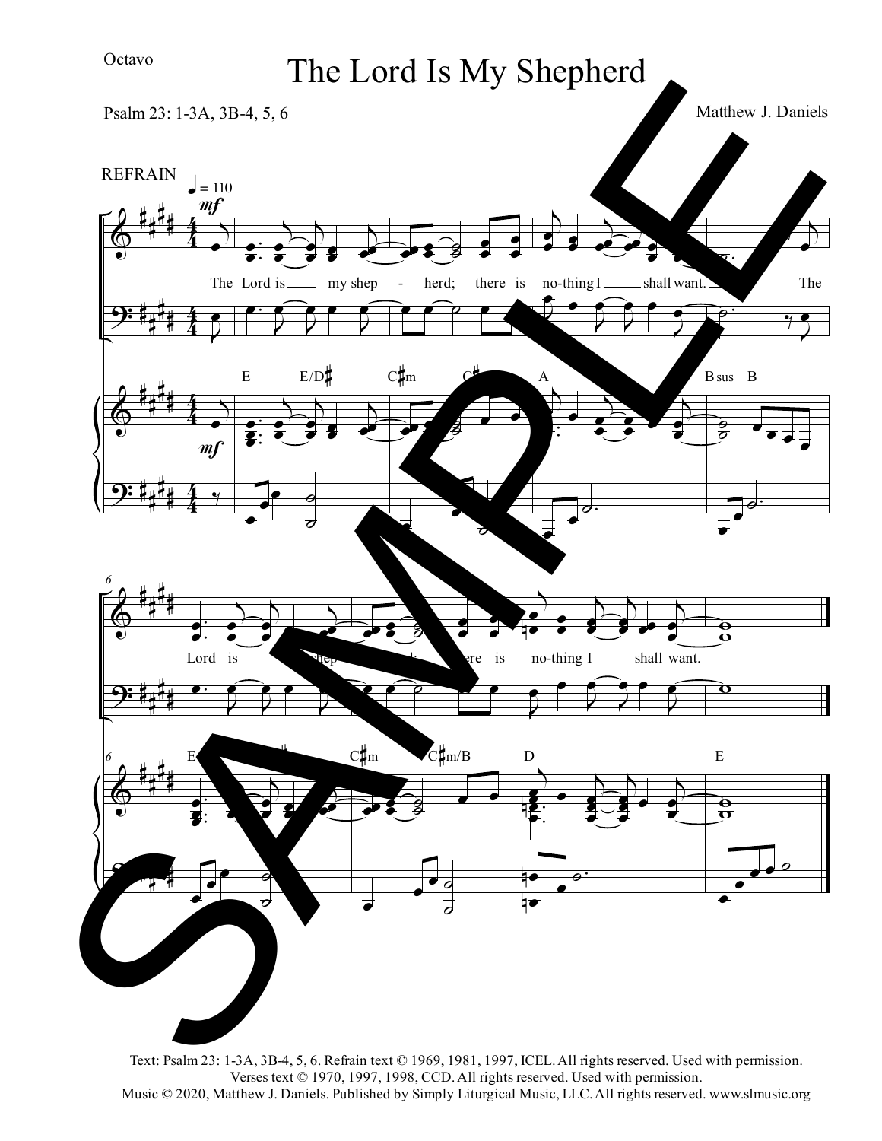## Octavo

## The Lord Is My Shepherd

 $\pmb{\phi}$  $\overline{9}$ :  $\pmb{\phi}$  $\overline{9}$ : # # # # # # # # # # # # # # # # 4 4 4 4 4 4 4 4  $\overline{\mathcal{L}}$ Ï The Lord is\_  $\overline{r}$ Ï  $\overline{\mathcal{L}}$ Ï ä  $= 110$ REFRAIN  $m<sub>f</sub>$ mf . .<br>.  $\frac{1}{2}$  $\bullet$  $\overline{\mathcal{L}}$  $\frac{1}{2}$  $\bullet$  $\overline{\phantom{0}}$ Ï **d**<br>C  $\overrightarrow{\bullet}$ **g**  $\overline{\phantom{0}}$ ÏÏ my shep  $\overline{\phantom{0}}$ J Ï J  $\overline{f}$ J Ï . :<br>: :<br>:  $\frac{1}{2}$ **d**<br>g **z**  $\overline{\mathcal{L}}$  $\frac{1}{2}$  $\bullet$  $\overline{\phantom{0}}$ Ï **d**<br>C  $\overrightarrow{\bullet}$ **g**  $\overline{\phantom{0}}$ ÏÏ Ï Ï Ï ú  $\overrightarrow{a}$  $E$   $E/D$  $\frac{1}{2}$ Ï  $\frac{1}{2}$ g<br>g  $\frac{1}{2}$  $\bullet$ Ï **d** - herd; there is no-thing I shall want.  $\bullet$   $\bullet$   $\bullet$ **i** Ï Z<br>g g<br>Ø  $\overline{\phantom{a}}$ Ï Ï Ï ú ú  $C_{\parallel m}^{\parallel}$  $\downarrow$  $\overline{\bullet}$  $\bullet$ Ï **S i**<br>T ÏÏ j **i d** j Ï J Ï  $\bar{z}$ Ï  $\bar{z}$  $\frac{1}{1}$  $\overline{Z}$ Ï  $\downarrow$ **P** j  $\frac{1}{2}$  $\bullet$ j Ì. **j** Ï j  $\frac{1}{2}$  $\bullet$ .<br>: :<br>: Ï Ï Ï Ï  $\frac{1}{\sigma}$ . A ú. ä j Ï The p.<br>P ä  $\overline{P}$ Ï  $\frac{1}{9}$ d<br>O  $\overrightarrow{•}$  $\overrightarrow{•}$ Ï  $\overrightarrow{•}$  $\overline{\bullet}$  $\frac{1}{\sigma}$ . Bsus B  $\pmb{\phi}$  $9:$  $\pmb{\phi}$ ? # # # # # # # # # # # # # # # # *6* . .  $\frac{1}{2}$ **d**<br>J  $\overline{\mathcal{L}}$ Ï  $\bullet$  $\overline{\mathcal{F}}$ Ï j<br>Z Ï Ï  $\overline{\mathcal{F}}$  $\Rightarrow$ Lord is  $\bullet$  : J Ï J  $\overline{ }$ J Ï *6* . :<br>: :<br>:  $\frac{1}{2}$ **d**<br>g **z** j Ï Ï j  $\frac{1}{2}$ ë<br>I Ï **d** j **j** Ï Ï Ï ú  $\overline{a}$ <sup>E</sup> E/D#  $\frac{1}{2}$ Ï )<br>S ú  $\frac{1}{2}$ **d**<br>I Ï Ï e is Ï Ï ú Ï Ï ÏÏ Ï Ï  $\frac{1}{2}$ g<br>g  $\overline{\phantom{a}}$ Ï Ï  $\bullet$  $\overrightarrow{a}$ <sup>C</sup>#<sup>m</sup> <sup>C</sup>#m/B  $\overline{a}$ Ï **id** Ï  $\bullet$ j  $\overrightarrow{\bullet}$  $\bullet$  $\overline{\mathcal{F}}$ Ï  $\overrightarrow{y}$  $\overline{\phantom{0}}$  $\frac{1}{2}$  $\bullet$ shall want.  $\overline{2}$ E<br>A Ï  $\bar{z}$ Ï  $\overline{2}$  $\epsilon$   $\epsilon$ J Ï  $\overline{a}$ Ï  $\frac{1}{2}$  . j  $\overline{\bullet}$ **g** Ï  $\overline{\mathcal{F}}$ Ï **z** Ï Ï  $\overline{\phantom{0}}$  $\frac{1}{2}$  $\bullet$ . .<br>.<br>. Ï **ē**<br>● n Ï ┆<br>┥┛ n  $\overrightarrow{•}$ ú. D  $\frac{\partial}{\partial \mathbf{p}}$  $\overline{\mathbf{o}}$  $\frac{\partial}{\partial \mathbf{p}}$ Ï Ï  $\overline{\phantom{a}}\phantom{a}$ E no-thing I Matthew J. Daniels Psalm 23: 1-3A, 3B-4, 5, 6 SAMPLE

Text: Psalm 23: 1-3A, 3B-4, 5, 6. Refrain text © 1969, 1981, 1997, ICEL.All rights reserved. Used with permission. Verses text © 1970, 1997, 1998, CCD.All rights reserved. Used with permission. Music © 2020, Matthew J. Daniels. Published by Simply Liturgical Music, LLC.All rights reserved. www.slmusic.org